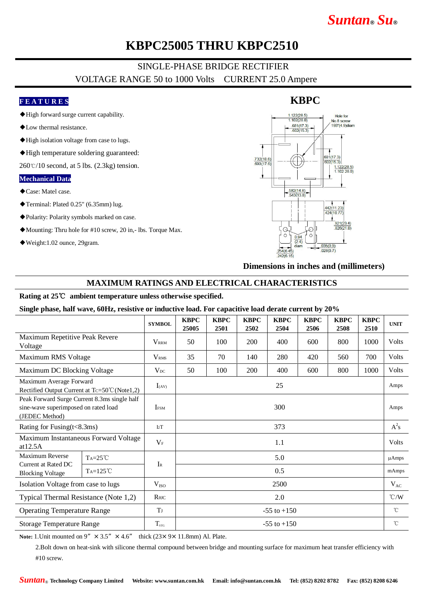# *Suntan***®** *Su***®**

## **KBPC25005 THRU KBPC2510**

### SINGLE-PHASE BRIDGE RECTIFIER VOLTAGE RANGE 50 to 1000 Volts CURRENT 25.0 Ampere

#### **F E A T U R E S**

- ◆High forward surge current capability.
- ◆Low thermal resistance.
- ◆High isolation voltage from case to lugs.
- ◆High temperature soldering guaranteed:

 $260\degree$ C/10 second, at 5 lbs. (2.3kg) tension.

#### **Mechanical Data**

- ◆Case: Matel case.
- ◆Terminal: Plated 0.25" (6.35mm) lug.
- ◆Polarity: Polarity symbols marked on case.
- ◆Mounting: Thru hole for #10 screw, 20 in,- lbs. Torque Max.
- ◆Weight:1.02 ounce, 29gram.



**Dimensions in inches and (millimeters)**

#### **MAXIMUM RATINGS AND ELECTRICAL CHARACTERISTICS**

#### **Rating at 25**℃ **ambient temperature unless otherwise specified.**

**Single phase, half wave, 60Hz, resistive or inductive load. For capacitive load derate current by 20%**

|                                                                                                        |                   | <b>SYMBOL</b>           | <b>KBPC</b><br>25005 | <b>KBPC</b><br>2501 | <b>KBPC</b><br>2502 | <b>KBPC</b><br>2504 | <b>KBPC</b><br>2506 | <b>KBPC</b><br>2508 | <b>KBPC</b><br>2510 | <b>UNIT</b>   |
|--------------------------------------------------------------------------------------------------------|-------------------|-------------------------|----------------------|---------------------|---------------------|---------------------|---------------------|---------------------|---------------------|---------------|
| Maximum Repetitive Peak Revere<br>Voltage                                                              |                   | <b>VRRM</b>             | 50                   | 100                 | 200                 | 400                 | 600                 | 800                 | 1000                | <b>Volts</b>  |
| Maximum RMS Voltage                                                                                    |                   | <b>V</b> <sub>RMS</sub> | 35                   | 70                  | 140                 | 280                 | 420                 | 560                 | 700                 | Volts         |
| Maximum DC Blocking Voltage                                                                            |                   | $V_{DC}$                | 50                   | 100                 | 200                 | 400                 | 600                 | 800                 | 1000                | Volts         |
| Maximum Average Forward<br>Rectified Output Current at Tc=50°C (Note1,2)                               |                   | $I_{(AV)}$              | 25                   |                     |                     |                     |                     |                     |                     | Amps          |
| Peak Forward Surge Current 8.3ms single half<br>sine-wave superimposed on rated load<br>(JEDEC Method) |                   | <b>I</b> <sub>FSM</sub> | 300                  |                     |                     |                     |                     |                     |                     | Amps          |
| Rating for Fusing $(t<8.3ms)$                                                                          |                   | I2T                     | 373                  |                     |                     |                     |                     |                     |                     | $A^2s$        |
| Maximum Instantaneous Forward Voltage<br>at 12.5A                                                      |                   | $V_{\rm F}$             | 1.1                  |                     |                     |                     |                     |                     |                     | Volts         |
| Maximum Reverse<br>Current at Rated DC<br><b>Blocking Voltage</b>                                      | $Ta=25^{\circ}C$  | $I_{R}$                 | 5.0                  |                     |                     |                     |                     |                     |                     | $\mu$ Amps    |
|                                                                                                        | $Ta=125^{\circ}C$ |                         | 0.5                  |                     |                     |                     |                     |                     |                     | mAmps         |
| Isolation Voltage from case to lugs                                                                    |                   | V <sub>ISO</sub>        | 2500                 |                     |                     |                     |                     |                     |                     | $V_{AC}$      |
| Typical Thermal Resistance (Note 1,2)                                                                  |                   | $R$ $\theta$ JC         | 2.0                  |                     |                     |                     |                     |                     |                     | $\degree$ C/W |
| <b>Operating Temperature Range</b>                                                                     |                   | T                       | $-55$ to $+150$      |                     |                     |                     |                     |                     |                     | $^{\circ}$ C  |
| <b>Storage Temperature Range</b>                                                                       |                   | $T_{\rm src}$           | $-55$ to $+150$      |                     |                     |                     |                     |                     |                     | $^{\circ}$ C  |

**Note:** 1. Unit mounted on 9"  $\times$  3.5"  $\times$  4.6" thick (23 $\times$  9 $\times$  11.8mm) Al. Plate.

2.Bolt down on heat-sink with silicone thermal compound between bridge and mounting surface for maximum heat transfer efficiency with #10 screw.

### **KBPC**